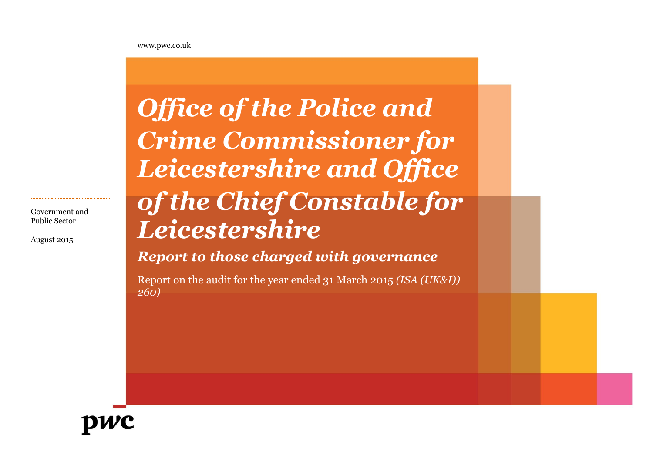[www.pwc.co.uk](http://www.pwc.co.uk/)

Government and Public Sector

August 2015

# *Office of the Police and Crime Commissioner for Leicestershire and Office of the Chief Constable for Leicestershire*

*Report to those charged with governance* 

Report on the audit for the year ended 31 March 2015 *(ISA (UK&I)) 260)*

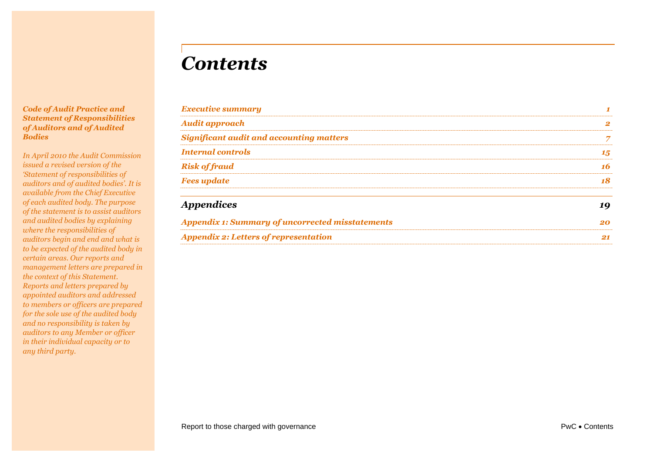# *Contents*

### *Code of Audit Practice and Statement of Responsibilities of Auditors and of Audited Bodies*

*In April 2010 the Audit Commission issued a revised version of the 'Statement of responsibilities of auditors and of audited bodies'. It is available from the Chief Executive of each audited body. The purpose of the statement is to assist auditors and audited bodies by explaining where the responsibilities of auditors begin and end and what is to be expected of the audited body in certain areas. Our reports and management letters are prepared in the context of this Statement. Reports and letters prepared by appointed auditors and addressed to members or officers are prepared for the sole use of the audited body and no responsibility is taken by auditors to any Member or officer in their individual capacity or to any third party.*

| 18 |
|----|
|    |
| 16 |
| 15 |
|    |
|    |
|    |
|    |

| <b>Appendix 1: Summary of uncorrected misstatements</b> |  |
|---------------------------------------------------------|--|
| <b>Appendix 2: Letters of representation</b>            |  |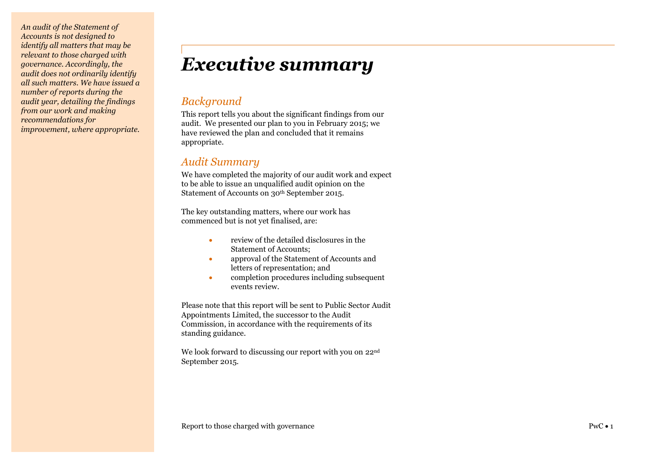*An audit of the Statement of Accounts is not designed to identify all matters that may be relevant to those charged with governance. Accordingly, the audit does not ordinarily identify all such matters. We have issued a number of reports during the audit year, detailing the findings from our work and making recommendations for improvement, where appropriate.*

# <span id="page-2-0"></span>*Executive summary*

# *Background*

This report tells you about the significant findings from our audit. We presented our plan to you in February 2015 ; we have reviewed the plan and concluded that it remains appropriate.

# *Audit Summary*

We have completed the majority of our audit work and expect to be able to issue an unqualified audit opinion on the Statement of Accounts on 30th September 2015.

The key outstanding matters, where our work has commenced but is not yet finalised, are:

- review of the detailed disclosures in the Statement of Accounts;
- approval of the Statement of Accounts and letters of representation; and
- $\bullet$ completion procedures including subsequent events review.

Please note that this report will be sent to Public Sector Audit Appointments Limited, the successor to the Audit Commission, in accordance with the requirements of its standing guidance.

We look forward to discussing our report with you on 22<sup>nd</sup> September 2015.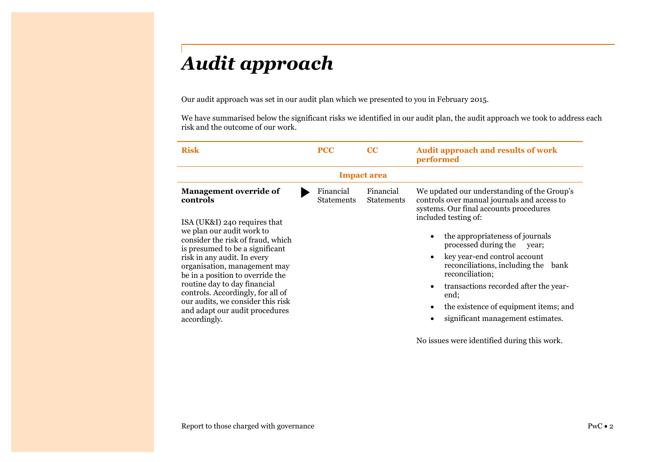# <span id="page-3-0"></span>*Audit approach*

Our audit approach was set in our audit plan which we presented to you in February 2015.

We have summarised below the significant risks we identified in our audit plan, the audit approach we took to address each risk and the outcome of our work.

| <b>Risk</b>                                                                                                                                                                                                                                                                                                                                                                                                                                   | <b>PCC</b> |                                | cc                             | <b>Audit approach and results of work</b><br>performed                                                                                                                                                                                                                                                                                                                                                                                                                                                           |  |
|-----------------------------------------------------------------------------------------------------------------------------------------------------------------------------------------------------------------------------------------------------------------------------------------------------------------------------------------------------------------------------------------------------------------------------------------------|------------|--------------------------------|--------------------------------|------------------------------------------------------------------------------------------------------------------------------------------------------------------------------------------------------------------------------------------------------------------------------------------------------------------------------------------------------------------------------------------------------------------------------------------------------------------------------------------------------------------|--|
| <b>Impact area</b>                                                                                                                                                                                                                                                                                                                                                                                                                            |            |                                |                                |                                                                                                                                                                                                                                                                                                                                                                                                                                                                                                                  |  |
| <b>Management override of</b><br>controls<br>ISA (UK&I) 240 requires that<br>we plan our audit work to<br>consider the risk of fraud, which<br>is presumed to be a significant<br>risk in any audit. In every<br>organisation, management may<br>be in a position to override the<br>routine day to day financial<br>controls. Accordingly, for all of<br>our audits, we consider this risk<br>and adapt our audit procedures<br>accordingly. |            | Financial<br><b>Statements</b> | Financial<br><b>Statements</b> | We updated our understanding of the Group's<br>controls over manual journals and access to<br>systems. Our final accounts procedures<br>included testing of:<br>the appropriateness of journals<br>$\bullet$<br>processed during the<br>year;<br>key year-end control account<br>$\bullet$<br>reconciliations, including the<br>bank<br>reconciliation;<br>transactions recorded after the year-<br>$\bullet$<br>end;<br>the existence of equipment items; and<br>$\bullet$<br>significant management estimates. |  |

No issues were identified during this work.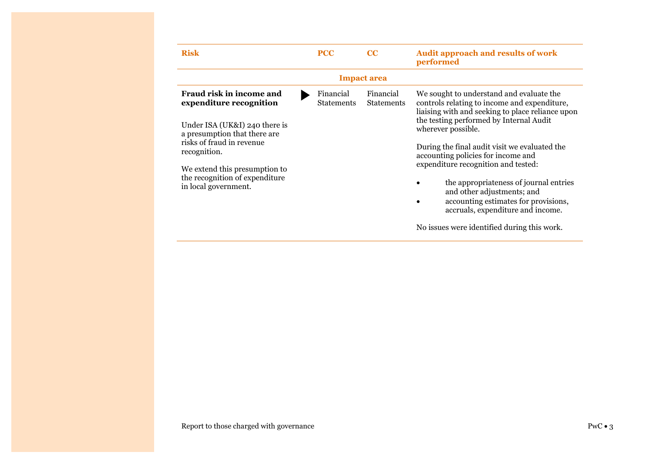| <b>Risk</b>                                                                                                                                                                                                                                                  | <b>PCC</b>                     | $_{\rm CC}$                    | <b>Audit approach and results of work</b><br>performed                                                                                                                                                                                                                                                                                                                                                                                                                                           |  |
|--------------------------------------------------------------------------------------------------------------------------------------------------------------------------------------------------------------------------------------------------------------|--------------------------------|--------------------------------|--------------------------------------------------------------------------------------------------------------------------------------------------------------------------------------------------------------------------------------------------------------------------------------------------------------------------------------------------------------------------------------------------------------------------------------------------------------------------------------------------|--|
| <b>Impact area</b>                                                                                                                                                                                                                                           |                                |                                |                                                                                                                                                                                                                                                                                                                                                                                                                                                                                                  |  |
| Fraud risk in income and<br>expenditure recognition<br>Under ISA (UK&I) 240 there is<br>a presumption that there are<br>risks of fraud in revenue<br>recognition.<br>We extend this presumption to<br>the recognition of expenditure<br>in local government. | Financial<br><b>Statements</b> | Financial<br><b>Statements</b> | We sought to understand and evaluate the<br>controls relating to income and expenditure,<br>liaising with and seeking to place reliance upon<br>the testing performed by Internal Audit<br>wherever possible.<br>During the final audit visit we evaluated the<br>accounting policies for income and<br>expenditure recognition and tested:<br>the appropriateness of journal entries<br>and other adjustments; and<br>accounting estimates for provisions,<br>accruals, expenditure and income. |  |
|                                                                                                                                                                                                                                                              |                                |                                | No issues were identified during this work.                                                                                                                                                                                                                                                                                                                                                                                                                                                      |  |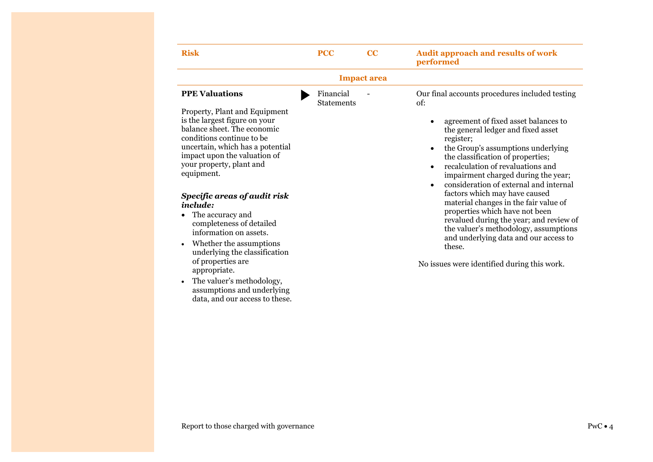| <b>Risk</b>                                                                                                                                                                                                                                                                                              | <b>PCC</b>                     | CC | <b>Audit approach and results of work</b><br>performed                                                                                                                                                                                                                                                                                                |  |  |
|----------------------------------------------------------------------------------------------------------------------------------------------------------------------------------------------------------------------------------------------------------------------------------------------------------|--------------------------------|----|-------------------------------------------------------------------------------------------------------------------------------------------------------------------------------------------------------------------------------------------------------------------------------------------------------------------------------------------------------|--|--|
| <b>Impact area</b>                                                                                                                                                                                                                                                                                       |                                |    |                                                                                                                                                                                                                                                                                                                                                       |  |  |
| <b>PPE Valuations</b><br>Property, Plant and Equipment<br>is the largest figure on your<br>balance sheet. The economic<br>conditions continue to be<br>uncertain, which has a potential<br>impact upon the valuation of<br>your property, plant and<br>equipment.                                        | Financial<br><b>Statements</b> |    | Our final accounts procedures included testing<br>of:<br>agreement of fixed asset balances to<br>$\bullet$<br>the general ledger and fixed asset<br>register;<br>the Group's assumptions underlying<br>$\bullet$<br>the classification of properties;<br>recalculation of revaluations and<br>$\bullet$<br>impairment charged during the year;        |  |  |
| Specific areas of audit risk<br>include:<br>The accuracy and<br>completeness of detailed<br>information on assets.<br>Whether the assumptions<br>$\bullet$<br>underlying the classification<br>of properties are<br>appropriate.<br>The valuer's methodology,<br>$\bullet$<br>assumptions and underlying |                                |    | consideration of external and internal<br>$\bullet$<br>factors which may have caused<br>material changes in the fair value of<br>properties which have not been<br>revalued during the year; and review of<br>the valuer's methodology, assumptions<br>and underlying data and our access to<br>these.<br>No issues were identified during this work. |  |  |

### Report to those charged with governance PwC  $\bullet$  4

data, and our access to these.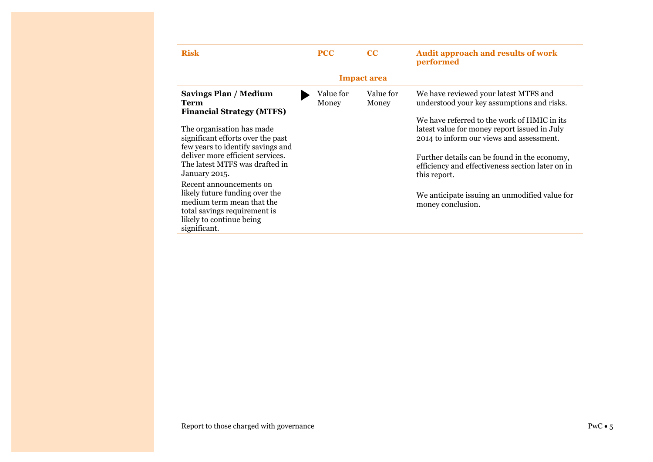| <b>Risk</b>                                                                                                                                                        | <b>PCC</b>         | $_{\rm CC}$        | <b>Audit approach and results of work</b><br>performed                                                                                  |  |  |
|--------------------------------------------------------------------------------------------------------------------------------------------------------------------|--------------------|--------------------|-----------------------------------------------------------------------------------------------------------------------------------------|--|--|
| <b>Impact area</b>                                                                                                                                                 |                    |                    |                                                                                                                                         |  |  |
| <b>Savings Plan / Medium</b><br><b>Term</b><br><b>Financial Strategy (MTFS)</b>                                                                                    | Value for<br>Money | Value for<br>Money | We have reviewed your latest MTFS and<br>understood your key assumptions and risks.                                                     |  |  |
| The organisation has made<br>significant efforts over the past<br>few years to identify savings and                                                                |                    |                    | We have referred to the work of HMIC in its<br>latest value for money report issued in July<br>2014 to inform our views and assessment. |  |  |
| deliver more efficient services.<br>The latest MTFS was drafted in<br>January 2015.                                                                                |                    |                    | Further details can be found in the economy,<br>efficiency and effectiveness section later on in<br>this report.                        |  |  |
| Recent announcements on<br>likely future funding over the<br>medium term mean that the<br>total savings requirement is<br>likely to continue being<br>significant. |                    |                    | We anticipate issuing an unmodified value for<br>money conclusion.                                                                      |  |  |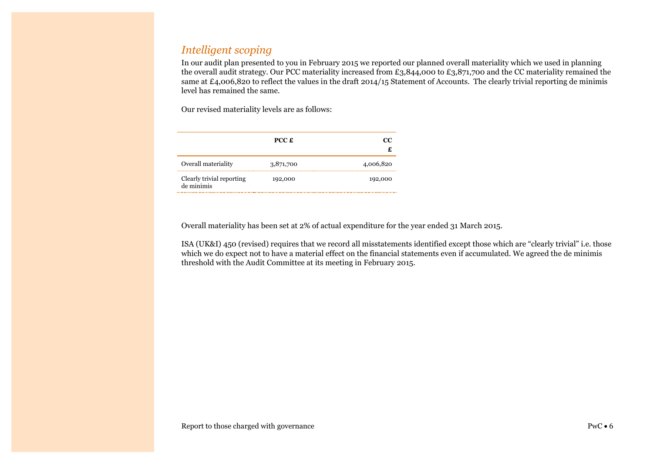# *Intelligent scoping*

In our audit plan presented to you in February 2015 we reported our planned overall materiality which we used in planning the overall audit strategy. Our PCC materiality increased from £3,844,000 to £3,871,700 and the CC materiality remained the same at £4,006,820 to reflect the values in the draft 2014/15 Statement of Accounts. The clearly trivial reporting de minimis level has remained the same.

Our revised materiality levels are as follows:

|                                         | $PCC \nLpsilon$ | œ         |
|-----------------------------------------|-----------------|-----------|
| Overall materiality                     | 3,871,700       | 4,006,820 |
| Clearly trivial reporting<br>de minimis | 192,000         | 192,000   |

Overall materiality has been set at 2% of actual expenditure for the year ended 31 March 2015.

ISA (UK&I) 450 (revised) requires that we record all misstatements identified except those which are "clearly trivial" i.e. those which we do expect not to have a material effect on the financial statements even if accumulated. We agreed the de minimis threshold with the Audit Committee at its meeting in February 2015.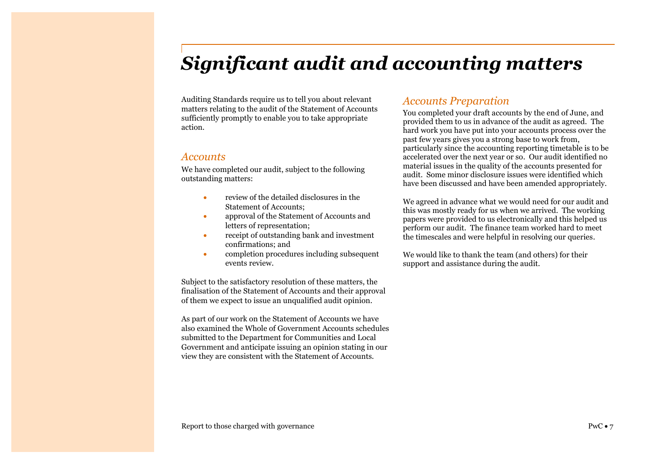# <span id="page-8-0"></span>*Significant audit and accounting matters*

Auditing Standards require us to tell you about relevant matters relating to the audit of the Statement of Accounts sufficiently promptly to enable you to take appropriate action.

### *Accounts*

We have completed our audit, subject to the following outstanding matters:

- review of the detailed disclosures in the Statement of Accounts;
- approval of the Statement of Accounts and letters of representation;
- receipt of outstanding bank and investment confirmations; and
- completion procedures including subsequent events review.

Subject to the satisfactory resolution of these matters, the finalisation of the Statement of Accounts and their approval of them we expect to issue an unqualified audit opinion.

As part of our work on the Statement of Accounts we have also examined the Whole of Government Accounts schedules submitted to the Department for Communities and Local Government and anticipate issuing an opinion stating in our view they are consistent with the Statement of Accounts.

### *Accounts Preparation*

You completed your draft accounts by the end of June, and provided them to us in advance of the audit as agreed. The hard work you have put into your accounts process over the past few years gives you a strong base to work from, particularly since the accounting reporting timetable is to be accelerated over the next year or so. Our audit identified no material issues in the quality of the accounts presented for audit. Some minor disclosure issues were identified which have been discussed and have been amended appropriately.

We agreed in advance what we would need for our audit and this was mostly ready for us when we arrived. The working papers were provided to us electronically and this helped us perform our audit. The finance team worked hard to meet the timescales and were helpful in resolving our queries.

We would like to thank the team (and others) for their support and assistance during the audit.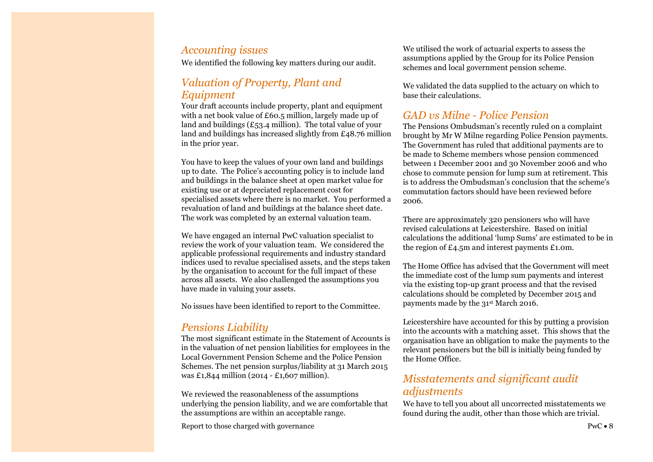### *Accounting issues*

We identified the following key matters during our audit.

# *Valuation of Property, Plant and Equipment*

Your draft accounts include property, plant and equipment with a net book value of £60.5 million, largely made up of land and buildings  $(E53.4 \text{ million})$ . The total value of your land and buildings has increased slightly from £48.76 million in the prior year.

You have to keep the values of your own land and buildings up to date. The Police's accounting policy is to include land and buildings in the balance sheet at open market value for existing use or at depreciated replacement cost for specialised assets where there is no market. You performed a revaluation of land and buildings at the balance sheet date. The work was completed by an external valuation team.

We have engaged an internal PwC valuation specialist to review the work of your valuation team. We considered the applicable professional requirements and industry standard indices used to revalue specialised assets, and the steps taken by the organisation to account for the full impact of these across all assets. We also challenged the assumptions you have made in valuing your assets.

No issues have been identified to report to the Committee.

# *Pensions Liability*

The most significant estimate in the Statement of Accounts is in the valuation of net pension liabilities for employees in the Local Government Pension Scheme and the Police Pension Schemes. The net pension surplus/liability at 31 March 2015 was £1,844 million (2014 - £1,607 million).

We reviewed the reasonableness of the assumptions underlying the pension liability, and we are comfortable that the assumptions are within an acceptable range.

Report to those charged with governance  $PwC \cdot 8$ 

We utilised the work of actuarial experts to assess the assumptions applied by the Group for its Police Pension schemes and local government pension scheme.

We validated the data supplied to the actuary on which to base their calculations.

## *GAD vs Milne - Police Pension*

The Pensions Ombudsman's recently ruled on a complaint brought by Mr W Milne regarding Police Pension payments. The Government has ruled that additional payments are to be made to Scheme members whose pension commenced between 1 December 2001 and 30 November 2006 and who chose to commute pension for lump sum at retirement. This is to address the Ombudsman's conclusion that the scheme's commutation factors should have been reviewed before 2006.

There are approximately 320 pensioners who will have revised calculations at Leicestershire. Based on initial calculations the additional 'lump Sums' are estimated to be in the region of £4.5m and interest payments £1.0m.

The Home Office has advised that the Government will meet the immediate cost of the lump sum payments and interest via the existing top-up grant process and that the revised calculations should be completed by December 2015 and payments made by the 31st March 2016.

Leicestershire have accounted for this by putting a provision into the accounts with a matching asset. This shows that the organisation have an obligation to make the payments to the relevant pensioners but the bill is initially being funded by the Home Office.

# *Misstatements and significant audit adjustments*

We have to tell you about all uncorrected misstatements we found during the audit, other than those which are trivial.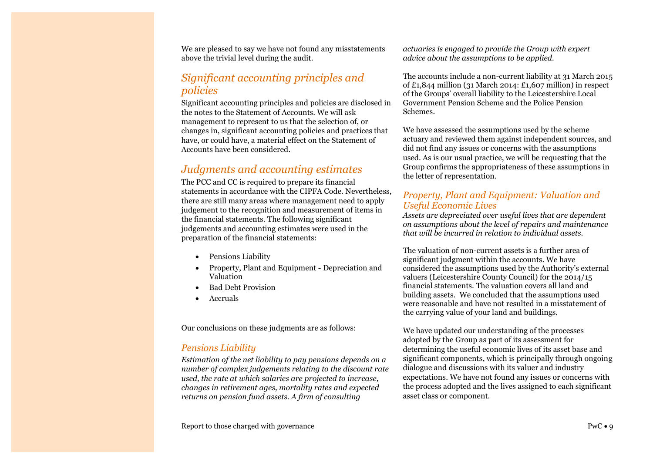We are pleased to say we have not found any misstatements above the trivial level during the audit.

# *Significant accounting principles and policies*

Significant accounting principles and policies are disclosed in the notes to the Statement of Accounts. We will ask management to represent to us that the selection of, or changes in, significant accounting policies and practices that have, or could have, a material effect on the Statement of Accounts have been considered.

# *Judgments and accounting estimates*

The PCC and CC is required to prepare its financial statements in accordance with the CIPFA Code. Nevertheless, there are still many areas where management need to apply judgement to the recognition and measurement of items in the financial statements. The following significant judgements and accounting estimates were used in the preparation of the financial statements:

- Pensions Liability
- Property, Plant and Equipment Depreciation and Valuation
- Bad Debt Provision
- Accruals

Our conclusions on these judgments are as follows:

### *Pensions Liability*

*Estimation of the net liability to pay pensions depends on a number of complex judgements relating to the discount rate used, the rate at which salaries are projected to increase, changes in retirement ages, mortality rates and expected returns on pension fund assets. A firm of consulting* 

*actuaries is engaged to provide the Group with expert advice about the assumptions to be applied.*

The accounts include a non-current liability at 31 March 2015 of  $£1,844$  million (31 March 2014:  $£1,607$  million) in respect of the Groups' overall liability to the Leicestershire Local Government Pension Scheme and the Police Pension Schemes.

We have assessed the assumptions used by the scheme actuary and reviewed them against independent sources, and did not find any issues or concerns with the assumptions used. As is our usual practice, we will be requesting that the Group confirms the appropriateness of these assumptions in the letter of representation.

### *Property, Plant and Equipment: Valuation and Useful Economic Lives*

*Assets are depreciated over useful lives that are dependent on assumptions about the level of repairs and maintenance that will be incurred in relation to individual assets.* 

The valuation of non-current assets is a further area of significant judgment within the accounts. We have considered the assumptions used by the Authority's external valuers (Leicestershire County Council) for the 2014/15 financial statements. The valuation covers all land and building assets. We concluded that the assumptions used were reasonable and have not resulted in a misstatement of the carrying value of your land and buildings.

We have updated our understanding of the processes adopted by the Group as part of its assessment for determining the useful economic lives of its asset base and significant components, which is principally through ongoing dialogue and discussions with its valuer and industry expectations. We have not found any issues or concerns with the process adopted and the lives assigned to each significant asset class or component.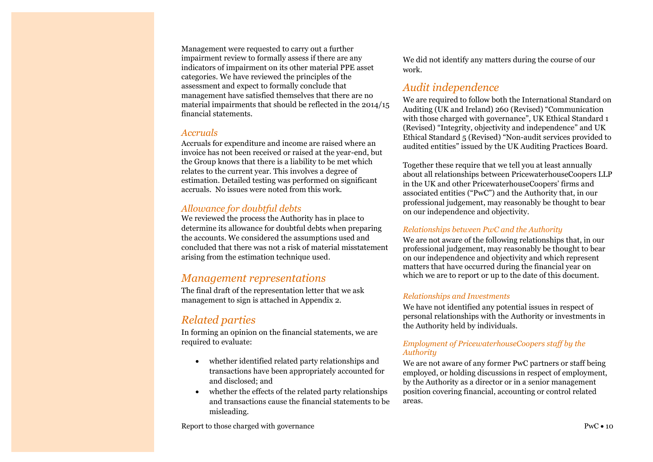Management were requested to carry out a further impairment review to formally assess if there are any indicators of impairment on its other material PPE asset categories. We have reviewed the principles of the assessment and expect to formally conclude that management have satisfied themselves that there are no material impairments that should be reflected in the 2014/15 financial statements.

### *Accruals*

Accruals for expenditure and income are raised where an invoice has not been received or raised at the year-end, but the Group knows that there is a liability to be met which relates to the current year. This involves a degree of estimation. Detailed testing was performed on significant accruals. No issues were noted from this work.

### *Allowance for doubtful debts*

We reviewed the process the Authority has in place to determine its allowance for doubtful debts when preparing the accounts. We considered the assumptions used and concluded that there was not a risk of material misstatement arising from the estimation technique used.

### *Management representations*

The final draft of the representation letter that we ask management to sign is attached in Appendix 2.

# *Related parties*

In forming an opinion on the financial statements, we are required to evaluate:

- whether identified related party relationships and transactions have been appropriately accounted for and disclosed; and
- whether the effects of the related party relationships and transactions cause the financial statements to be misleading.

Report to those charged with governance PwC  $\bullet$  10

We did not identify any matters during the course of our work.

# *Audit independence*

We are required to follow both the International Standard on Auditing (UK and Ireland) 260 (Revised) "Communication with those charged with governance", UK Ethical Standard 1 (Revised) "Integrity, objectivity and independence" and UK Ethical Standard 5 (Revised) "Non-audit services provided to audited entities" issued by the UK Auditing Practices Board.

Together these require that we tell you at least annually about all relationships between PricewaterhouseCoopers LLP in the UK and other PricewaterhouseCoopers' firms and associated entities ("PwC") and the Authority that, in our professional judgement, may reasonably be thought to bear on our independence and objectivity.

### *Relationships between PwC and the Authority*

We are not aware of the following relationships that, in our professional judgement, may reasonably be thought to bear on our independence and objectivity and which represent matters that have occurred during the financial year on which we are to report or up to the date of this document.

### *Relationships and Investments*

We have not identified any potential issues in respect of personal relationships with the Authority or investments in the Authority held by individuals.

### *Employment of PricewaterhouseCoopers staff by the Authority*

We are not aware of any former PwC partners or staff being employed, or holding discussions in respect of employment, by the Authority as a director or in a senior management position covering financial, accounting or control related areas.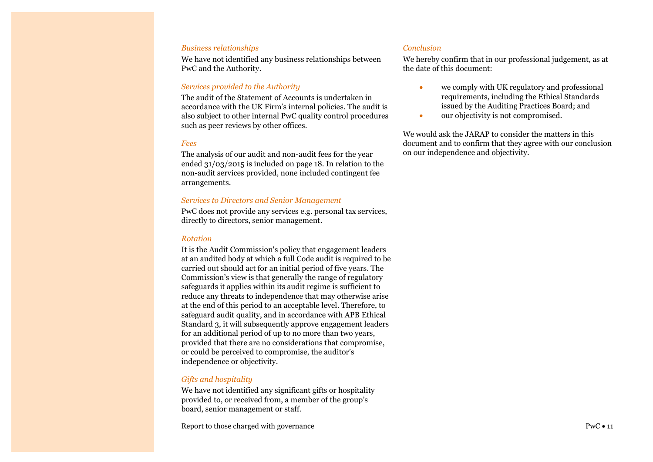#### *Business relationships*

We have not identified any business relationships between PwC and the Authority.

### *Services provided to the Authority*

The audit of the Statement of Accounts is undertaken in accordance with the UK Firm's internal policies. The audit is also subject to other internal PwC quality control procedures such as peer reviews by other offices.

### *Fees*

The analysis of our audit and non-audit fees for the year ended 31/03/2015 is included on page 18. In relation to the non-audit services provided, none included contingent fee arrangements.

#### *Services to Directors and Senior Management*

PwC does not provide any services e.g. personal tax services, directly to directors, senior management.

### *Rotation*

It is the Audit Commission's policy that engagement leaders at an audited body at which a full Code audit is required to be carried out should act for an initial period of five years. The Commission's view is that generally the range of regulatory safeguards it applies within its audit regime is sufficient to reduce any threats to independence that may otherwise arise at the end of this period to an acceptable level. Therefore, to safeguard audit quality, and in accordance with APB Ethical Standard 3, it will subsequently approve engagement leaders for an additional period of up to no more than two years, provided that there are no considerations that compromise, or could be perceived to compromise, the auditor's independence or objectivity.

### *Gifts and hospitality*

We have not identified any significant gifts or hospitality provided to, or received from, a member of the group's board, senior management or staff.

Report to those charged with governance PwC  $\bullet$  11

### *Conclusion*

We hereby confirm that in our professional judgement, as at the date of this document:

- we comply with UK regulatory and professional requirements, including the Ethical Standards issued by the Auditing Practices Board; and
- our objectivity is not compromised.

We would ask the JARAP to consider the matters in this document and to confirm that they agree with our conclusion on our independence and objectivity.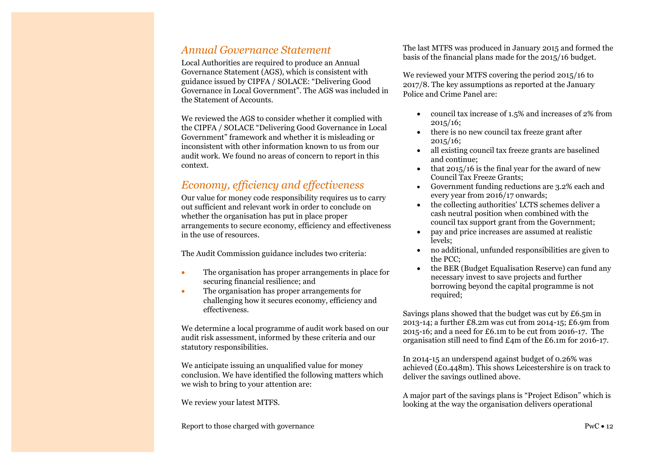# *Annual Governance Statement*

Local Authorities are required to produce an Annual Governance Statement (AGS), which is consistent with guidance issued by CIPFA / SOLACE: "Delivering Good Governance in Local Government". The AGS was included in the Statement of Accounts.

We reviewed the AGS to consider whether it complied with the CIPFA / SOLACE "Delivering Good Governance in Local Government" framework and whether it is misleading or inconsistent with other information known to us from our audit work. We found no areas of concern to report in this context.

## *Economy, efficiency and effectiveness*

Our value for money code responsibility requires us to carry out sufficient and relevant work in order to conclude on whether the organisation has put in place proper arrangements to secure economy, efficiency and effectiveness in the use of resources.

The Audit Commission guidance includes two criteria:

- The organisation has proper arrangements in place for securing financial resilience; and
- The organisation has proper arrangements for challenging how it secures economy, efficiency and effectiveness.

We determine a local programme of audit work based on our audit risk assessment, informed by these criteria and our statutory responsibilities.

We anticipate issuing an unqualified value for money conclusion. We have identified the following matters which we wish to bring to your attention are:

We review your latest MTFS.

The last MTFS was produced in January 2015 and formed the basis of the financial plans made for the 2015/16 budget.

We reviewed your MTFS covering the period 2015/16 to 2017/8. The key assumptions as reported at the January Police and Crime Panel are:

- council tax increase of 1.5% and increases of 2% from 2015/16;
- there is no new council tax freeze grant after  $2015/16$ ;
- all existing council tax freeze grants are baselined and continue;
- that 2015/16 is the final year for the award of new Council Tax Freeze Grants;
- Government funding reductions are 3.2% each and every year from 2016/17 onwards;
- the collecting authorities' LCTS schemes deliver a cash neutral position when combined with the council tax support grant from the Government;
- pay and price increases are assumed at realistic levels;
- no additional, unfunded responsibilities are given to the PCC;
- the BER (Budget Equalisation Reserve) can fund any necessary invest to save projects and further borrowing beyond the capital programme is not required;

Savings plans showed that the budget was cut by £6.5m in 2013-14; a further £8.2m was cut from 2014-15; £6.9m from 2015-16; and a need for £6.1m to be cut from 2016-17. The organisation still need to find £4m of the £6.1m for 2016-17.

In 2014-15 an underspend against budget of 0.26% was achieved (£0.448m). This shows Leicestershire is on track to deliver the savings outlined above.

A major part of the savings plans is "Project Edison" which is looking at the way the organisation delivers operational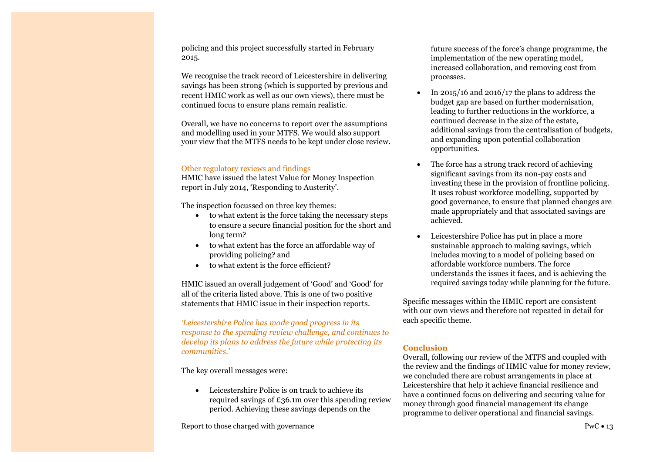policing and this project successfully started in February 2015.

We recognise the track record of Leicestershire in delivering savings has been strong (which is supported by previous and recent HMIC work as well as our own views), there must be continued focus to ensure plans remain realistic.

Overall, we have no concerns to report over the assumptions and modelling used in your MTFS. We would also support your view that the MTFS needs to be kept under close review.

### Other regulatory reviews and findings

HMIC have issued the latest Value for Money Inspection report in July 2014, 'Responding to Austerity'.

The inspection focussed on three key themes:

- to what extent is the force taking the necessary steps to ensure a secure financial position for the short and long term?
- to what extent has the force an affordable way of providing policing? and
- to what extent is the force efficient?

HMIC issued an overall judgement of 'Good' and 'Good' for all of the criteria listed above. This is one of two positive statements that HMIC issue in their inspection reports.

*'Leicestershire Police has made good progress in its response to the spending review challenge, and continues to develop its plans to address the future while protecting its communities.'*

The key overall messages were:

 Leicestershire Police is on track to achieve its required savings of £36.1m over this spending review period. Achieving these savings depends on the

Report to those charged with governance PwC  $\bullet$  13

future success of the force's change programme, the implementation of the new operating model, increased collaboration, and removing cost from processes.

- In 2015/16 and 2016/17 the plans to address the budget gap are based on further modernisation, leading to further reductions in the workforce, a continued decrease in the size of the estate, additional savings from the centralisation of budgets, and expanding upon potential collaboration opportunities.
- The force has a strong track record of achieving significant savings from its non-pay costs and investing these in the provision of frontline policing. It uses robust workforce modelling, supported by good governance, to ensure that planned changes are made appropriately and that associated savings are achieved.
- Leicestershire Police has put in place a more sustainable approach to making savings, which includes moving to a model of policing based on affordable workforce numbers. The force understands the issues it faces, and is achieving the required savings today while planning for the future.

Specific messages within the HMIC report are consistent with our own views and therefore not repeated in detail for each specific theme.

### **Conclusion**

Overall, following our review of the MTFS and coupled with the review and the findings of HMIC value for money review, we concluded there are robust arrangements in place at Leicestershire that help it achieve financial resilience and have a continued focus on delivering and securing value for money through good financial management its change programme to deliver operational and financial savings.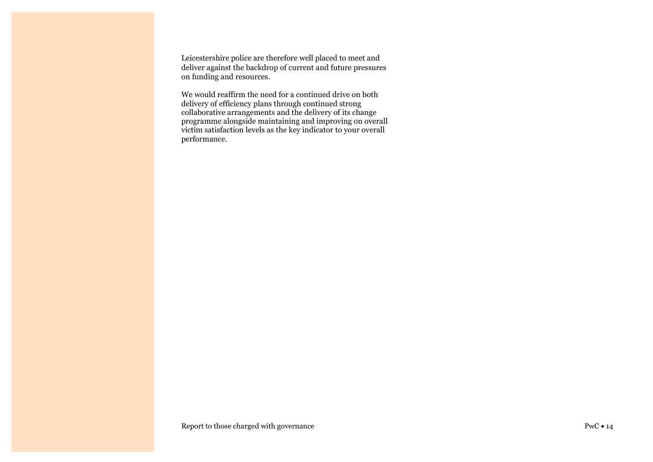Leicestershire police are therefore well placed to meet and deliver against the backdrop of current and future pressures on funding and resources.

We would reaffirm the need for a continued drive on both delivery of efficiency plans through continued strong collaborative arrangements and the delivery of its change programme alongside maintaining and improving on overall victim satisfaction levels as the key indicator to your overall performance.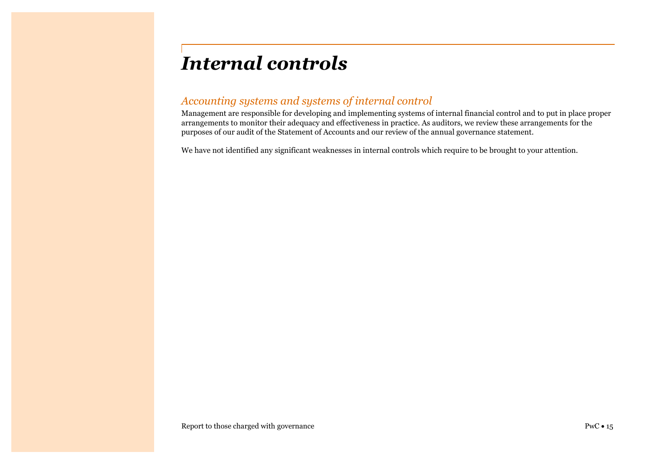# <span id="page-16-0"></span>*Internal controls*

# *Accounting systems and systems of internal control*

Management are responsible for developing and implementing systems of internal financial control and to put in place proper arrangements to monitor their adequacy and effectiveness in practice. As auditors, we review these arrangements for the purposes of our audit of the Statement of Accounts and our review of the annual governance statement.

We have not identified any significant weaknesses in internal controls which require to be brought to your attention.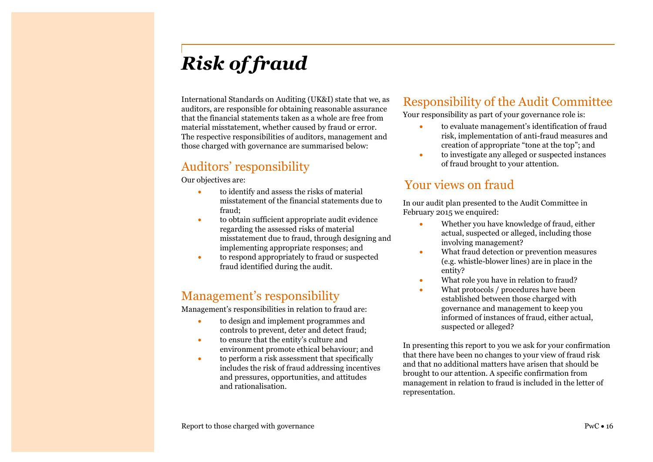# <span id="page-17-0"></span>*Risk of fraud*

International Standards on Auditing (UK&I) state that we, as auditors, are responsible for obtaining reasonable assurance that the financial statements taken as a whole are free from material misstatement, whether caused by fraud or error. The respective responsibilities of auditors, management and those charged with governance are summarised below:

# Auditors' responsibility

Our objectives are:

- to identify and assess the risks of material misstatement of the financial statements due to fraud;
- to obtain sufficient appropriate audit evidence regarding the assessed risks of material misstatement due to fraud, through designing and implementing appropriate responses; and
- to respond appropriately to fraud or suspected fraud identified during the audit.

# Management's responsibility

Management's responsibilities in relation to fraud are:

- to design and implement programmes and controls to prevent, deter and detect fraud;
- to ensure that the entity's culture and environment promote ethical behaviour; and
- to perform a risk assessment that specifically includes the risk of fraud addressing incentives and pressures, opportunities, and attitudes and rationalisation.

# Responsibility of the Audit Committee

Your responsibility as part of your governance role is:

- to evaluate management's identification of fraud risk, implementation of anti-fraud measures and creation of appropriate "tone at the top"; and
- to investigate any alleged or suspected instances of fraud brought to your attention.

# Your views on fraud

In our audit plan presented to the Audit Committee in February 2015 we enquired:

- Whether you have knowledge of fraud, either actual, suspected or alleged, including those involving management?
- What fraud detection or prevention measures (e.g. whistle-blower lines) are in place in the entity?
- What role you have in relation to fraud?
- What protocols / procedures have been established between those charged with governance and management to keep you informed of instances of fraud, either actual, suspected or alleged?

In presenting this report to you we ask for your confirmation that there have been no changes to your view of fraud risk and that no additional matters have arisen that should be brought to our attention. A specific confirmation from management in relation to fraud is included in the letter of representation.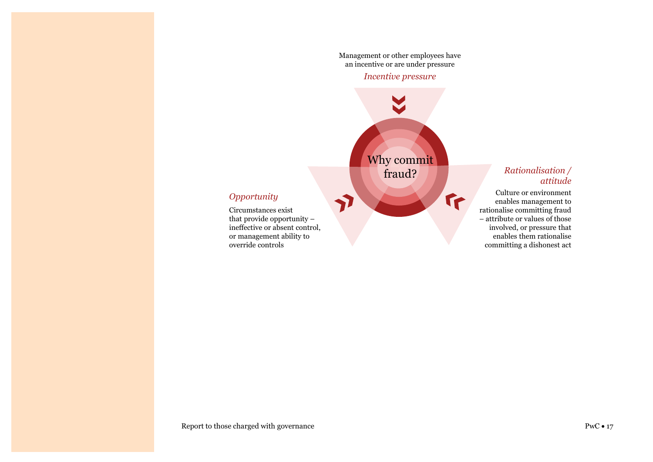Management or other employees have an incentive or are under pressure

### *Incentive pressure*

Why commit fraud?

7

 $\mathbf{r}$ 

### *Opportunity*

Circumstances exist that provide opportunity – ineffective or absent control, or management ability to override controls

### *Rationalisation / attitude*

Culture or environment enables management to rationalise committing fraud – attribute or values of those involved, or pressure that enables them rationalise committing a dishonest act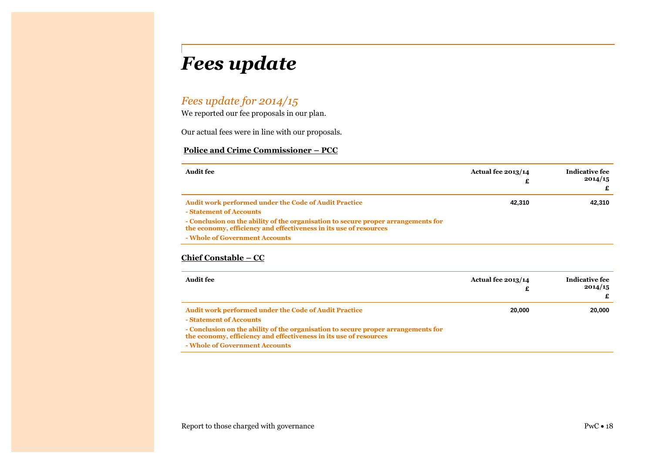# <span id="page-19-0"></span>*Fees update*

# *Fees update for 2014/15*

We reported our fee proposals in our plan.

Our actual fees were in line with our proposals.

### **Police and Crime Commissioner – PCC**

| Audit fee                                                                                                                                                                                                                                                                           | <b>Actual fee 2013/14</b> | Indicative fee<br>2014/15 |
|-------------------------------------------------------------------------------------------------------------------------------------------------------------------------------------------------------------------------------------------------------------------------------------|---------------------------|---------------------------|
| <b>Audit work performed under the Code of Audit Practice</b><br>- Statement of Accounts<br>- Conclusion on the ability of the organisation to secure proper arrangements for<br>the economy, efficiency and effectiveness in its use of resources<br>- Whole of Government Accounts | 42.310                    | 42.310                    |

### **Chief Constable – CC**

| Audit fee                                                                                                                                                                                                                                                                           | <b>Actual fee 2013/14</b> | <b>Indicative fee</b><br>2014/15 |
|-------------------------------------------------------------------------------------------------------------------------------------------------------------------------------------------------------------------------------------------------------------------------------------|---------------------------|----------------------------------|
| <b>Audit work performed under the Code of Audit Practice</b><br>- Statement of Accounts<br>- Conclusion on the ability of the organisation to secure proper arrangements for<br>the economy, efficiency and effectiveness in its use of resources<br>- Whole of Government Accounts | 20,000                    | 20,000                           |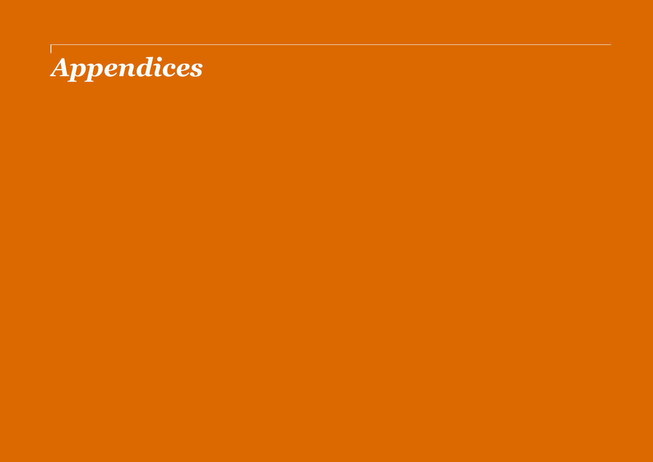# <span id="page-20-0"></span>*Appendices*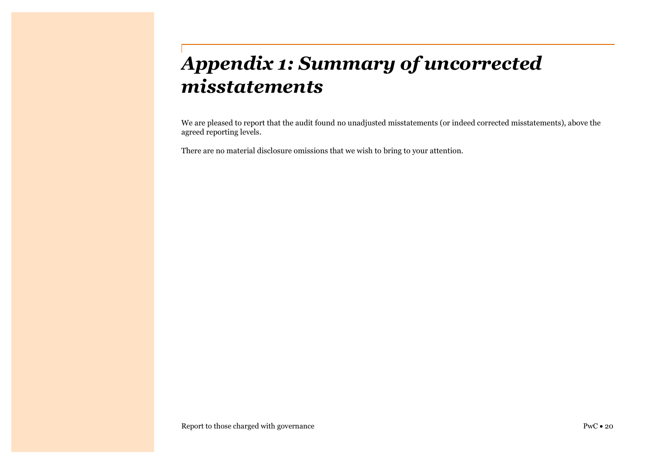# <span id="page-21-0"></span>*Appendix 1: Summary of uncorrected misstatements*

We are pleased to report that the audit found no unadjusted misstatements (or indeed corrected misstatements), above the agreed reporting levels.

There are no material disclosure omissions that we wish to bring to your attention.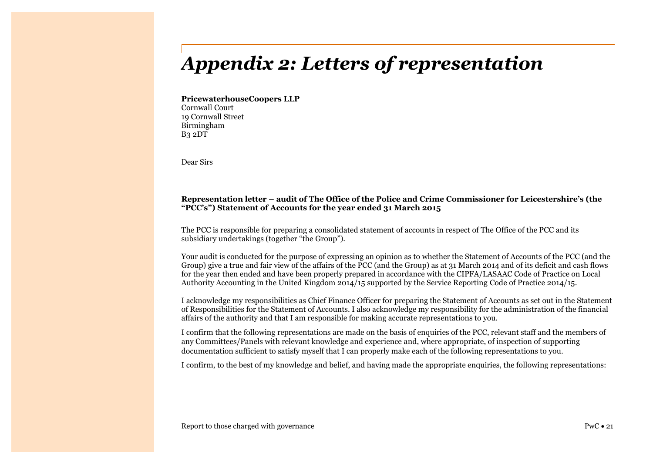# <span id="page-22-0"></span>*Appendix 2: Letters of representation*

**PricewaterhouseCoopers LLP** Cornwall Court 19 Cornwall Street Birmingham B3 2DT

Dear Sirs

### **Representation letter – audit of The Office of the Police and Crime Commissioner for Leicestershire's (the "PCC's") Statement of Accounts for the year ended 31 March 2015**

The PCC is responsible for preparing a consolidated statement of accounts in respect of The Office of the PCC and its subsidiary undertakings (together "the Group").

Your audit is conducted for the purpose of expressing an opinion as to whether the Statement of Accounts of the PCC (and the Group) give a true and fair view of the affairs of the PCC (and the Group) as at 31 March 2014 and of its deficit and cash flows for the year then ended and have been properly prepared in accordance with the CIPFA/LASAAC Code of Practice on Local Authority Accounting in the United Kingdom 2014/15 supported by the Service Reporting Code of Practice 2014/15.

I acknowledge my responsibilities as Chief Finance Officer for preparing the Statement of Accounts as set out in the Statement of Responsibilities for the Statement of Accounts. I also acknowledge my responsibility for the administration of the financial affairs of the authority and that I am responsible for making accurate representations to you.

I confirm that the following representations are made on the basis of enquiries of the PCC, relevant staff and the members of any Committees/Panels with relevant knowledge and experience and, where appropriate, of inspection of supporting documentation sufficient to satisfy myself that I can properly make each of the following representations to you.

I confirm, to the best of my knowledge and belief, and having made the appropriate enquiries, the following representations: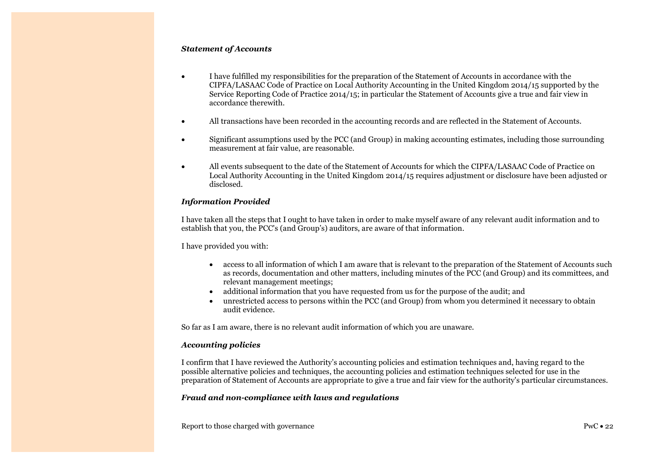### *Statement of Accounts*

- I have fulfilled my responsibilities for the preparation of the Statement of Accounts in accordance with the CIPFA/LASAAC Code of Practice on Local Authority Accounting in the United Kingdom 2014/15 supported by the Service Reporting Code of Practice 2014/15; in particular the Statement of Accounts give a true and fair view in accordance therewith.
- All transactions have been recorded in the accounting records and are reflected in the Statement of Accounts.
- Significant assumptions used by the PCC (and Group) in making accounting estimates, including those surrounding measurement at fair value, are reasonable.
- All events subsequent to the date of the Statement of Accounts for which the CIPFA/LASAAC Code of Practice on Local Authority Accounting in the United Kingdom 2014/15 requires adjustment or disclosure have been adjusted or disclosed.

### *Information Provided*

I have taken all the steps that I ought to have taken in order to make myself aware of any relevant audit information and to establish that you, the PCC's (and Group's) auditors, are aware of that information.

I have provided you with:

- access to all information of which I am aware that is relevant to the preparation of the Statement of Accounts such as records, documentation and other matters, including minutes of the PCC (and Group) and its committees, and relevant management meetings;
- additional information that you have requested from us for the purpose of the audit; and
- unrestricted access to persons within the PCC (and Group) from whom you determined it necessary to obtain audit evidence.

So far as I am aware, there is no relevant audit information of which you are unaware.

### *Accounting policies*

I confirm that I have reviewed the Authority's accounting policies and estimation techniques and, having regard to the possible alternative policies and techniques, the accounting policies and estimation techniques selected for use in the preparation of Statement of Accounts are appropriate to give a true and fair view for the authority's particular circumstances.

### *Fraud and non-compliance with laws and regulations*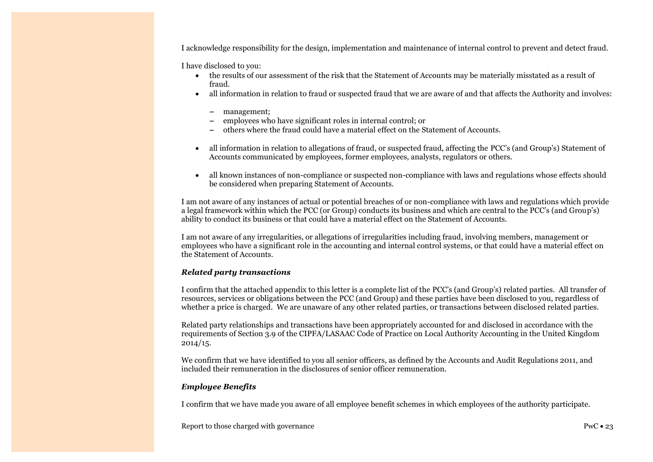I acknowledge responsibility for the design, implementation and maintenance of internal control to prevent and detect fraud.

I have disclosed to you:

- the results of our assessment of the risk that the Statement of Accounts may be materially misstated as a result of fraud.
- all information in relation to fraud or suspected fraud that we are aware of and that affects the Authority and involves:
	- -- management;
	- -- employees who have significant roles in internal control; or
	- -- others where the fraud could have a material effect on the Statement of Accounts.
- all information in relation to allegations of fraud, or suspected fraud, affecting the PCC's (and Group's) Statement of Accounts communicated by employees, former employees, analysts, regulators or others.
- all known instances of non-compliance or suspected non-compliance with laws and regulations whose effects should be considered when preparing Statement of Accounts.

I am not aware of any instances of actual or potential breaches of or non-compliance with laws and regulations which provide a legal framework within which the PCC (or Group) conducts its business and which are central to the PCC's (and Group's) ability to conduct its business or that could have a material effect on the Statement of Accounts.

I am not aware of any irregularities, or allegations of irregularities including fraud, involving members, management or employees who have a significant role in the accounting and internal control systems, or that could have a material effect on the Statement of Accounts.

#### *Related party transactions*

I confirm that the attached appendix to this letter is a complete list of the PCC's (and Group's) related parties. All transfer of resources, services or obligations between the PCC (and Group) and these parties have been disclosed to you, regardless of whether a price is charged. We are unaware of any other related parties, or transactions between disclosed related parties.

Related party relationships and transactions have been appropriately accounted for and disclosed in accordance with the requirements of Section 3.9 of the CIPFA/LASAAC Code of Practice on Local Authority Accounting in the United Kingdom 2014/15.

We confirm that we have identified to you all senior officers, as defined by the Accounts and Audit Regulations 2011, and included their remuneration in the disclosures of senior officer remuneration.

#### *Employee Benefits*

I confirm that we have made you aware of all employee benefit schemes in which employees of the authority participate.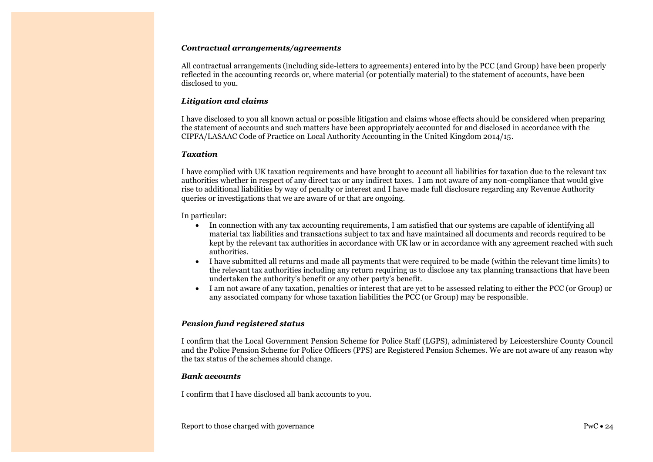### *Contractual arrangements/agreements*

All contractual arrangements (including side-letters to agreements) entered into by the PCC (and Group) have been properly reflected in the accounting records or, where material (or potentially material) to the statement of accounts, have been disclosed to you.

### *Litigation and claims*

I have disclosed to you all known actual or possible litigation and claims whose effects should be considered when preparing the statement of accounts and such matters have been appropriately accounted for and disclosed in accordance with the CIPFA/LASAAC Code of Practice on Local Authority Accounting in the United Kingdom 2014/15.

### *Taxation*

I have complied with UK taxation requirements and have brought to account all liabilities for taxation due to the relevant tax authorities whether in respect of any direct tax or any indirect taxes. I am not aware of any non-compliance that would give rise to additional liabilities by way of penalty or interest and I have made full disclosure regarding any Revenue Authority queries or investigations that we are aware of or that are ongoing.

In particular:

- In connection with any tax accounting requirements, I am satisfied that our systems are capable of identifying all material tax liabilities and transactions subject to tax and have maintained all documents and records required to be kept by the relevant tax authorities in accordance with UK law or in accordance with any agreement reached with such authorities.
- I have submitted all returns and made all payments that were required to be made (within the relevant time limits) to the relevant tax authorities including any return requiring us to disclose any tax planning transactions that have been undertaken the authority's benefit or any other party's benefit.
- I am not aware of any taxation, penalties or interest that are yet to be assessed relating to either the PCC (or Group) or any associated company for whose taxation liabilities the PCC (or Group) may be responsible.

### *Pension fund registered status*

I confirm that the Local Government Pension Scheme for Police Staff (LGPS), administered by Leicestershire County Council and the Police Pension Scheme for Police Officers (PPS) are Registered Pension Schemes. We are not aware of any reason why the tax status of the schemes should change.

### *Bank accounts*

I confirm that I have disclosed all bank accounts to you.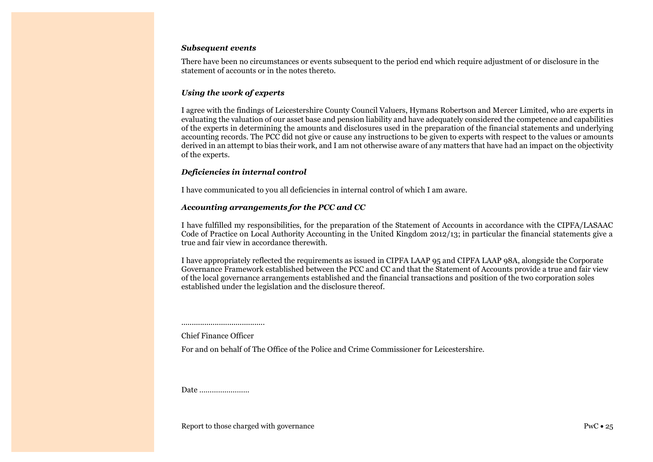#### *Subsequent events*

There have been no circumstances or events subsequent to the period end which require adjustment of or disclosure in the statement of accounts or in the notes thereto.

### *Using the work of experts*

I agree with the findings of Leicestershire County Council Valuers, Hymans Robertson and Mercer Limited, who are experts in evaluating the valuation of our asset base and pension liability and have adequately considered the competence and capabilities of the experts in determining the amounts and disclosures used in the preparation of the financial statements and underlying accounting records. The PCC did not give or cause any instructions to be given to experts with respect to the values or amounts derived in an attempt to bias their work, and I am not otherwise aware of any matters that have had an impact on the objectivity of the experts.

### *Deficiencies in internal control*

I have communicated to you all deficiencies in internal control of which I am aware.

### *Accounting arrangements for the PCC and CC*

I have fulfilled my responsibilities, for the preparation of the Statement of Accounts in accordance with the CIPFA/LASAAC Code of Practice on Local Authority Accounting in the United Kingdom 2012/13; in particular the financial statements give a true and fair view in accordance therewith.

I have appropriately reflected the requirements as issued in CIPFA LAAP 95 and CIPFA LAAP 98A, alongside the Corporate Governance Framework established between the PCC and CC and that the Statement of Accounts provide a true and fair view of the local governance arrangements established and the financial transactions and position of the two corporation soles established under the legislation and the disclosure thereof.

........................................ Chief Finance Officer

For and on behalf of The Office of the Police and Crime Commissioner for Leicestershire.

Date ……………………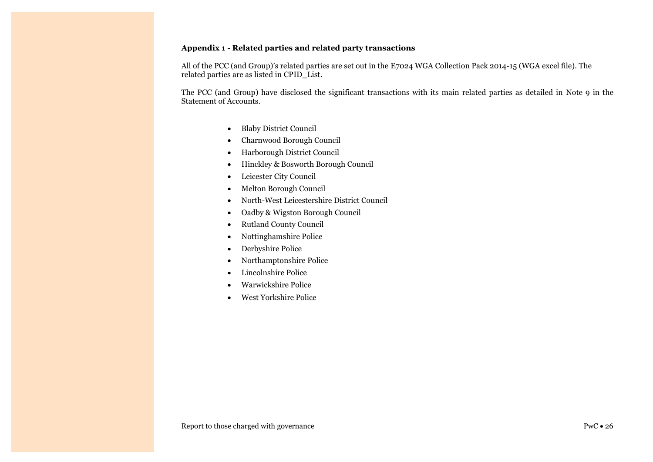### **Appendix 1 - Related parties and related party transactions**

All of the PCC (and Group)'s related parties are set out in the E7024 WGA Collection Pack 2014-15 (WGA excel file). The related parties are as listed in CPID\_List.

The PCC (and Group) have disclosed the significant transactions with its main related parties as detailed in Note 9 in the Statement of Accounts.

- Blaby District Council
- Charnwood Borough Council
- Harborough District Council
- Hinckley & Bosworth Borough Council
- Leicester City Council
- Melton Borough Council
- North-West Leicestershire District Council
- Oadby & Wigston Borough Council
- Rutland County Council
- Nottinghamshire Police
- Derbyshire Police
- Northamptonshire Police
- Lincolnshire Police
- Warwickshire Police
- West Yorkshire Police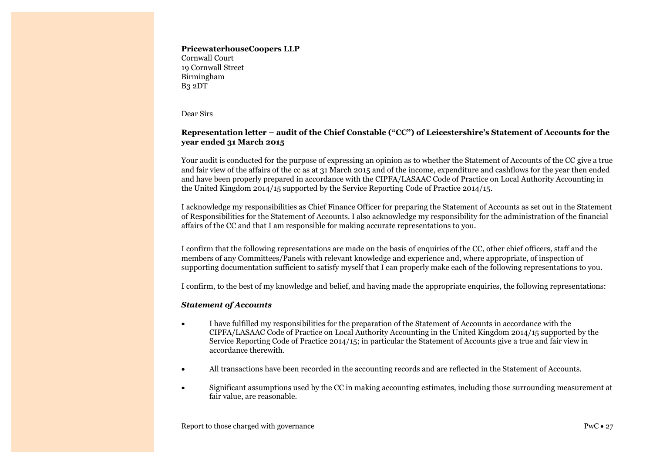### **PricewaterhouseCoopers LLP**

Cornwall Court 19 Cornwall Street Birmingham B3 2DT

Dear Sirs

### **Representation letter – audit of the Chief Constable ("CC") of Leicestershire's Statement of Accounts for the year ended 31 March 2015**

Your audit is conducted for the purpose of expressing an opinion as to whether the Statement of Accounts of the CC give a true and fair view of the affairs of the cc as at 31 March 2015 and of the income, expenditure and cashflows for the year then ended and have been properly prepared in accordance with the CIPFA/LASAAC Code of Practice on Local Authority Accounting in the United Kingdom 2014/15 supported by the Service Reporting Code of Practice 2014/15.

I acknowledge my responsibilities as Chief Finance Officer for preparing the Statement of Accounts as set out in the Statement of Responsibilities for the Statement of Accounts. I also acknowledge my responsibility for the administration of the financial affairs of the CC and that I am responsible for making accurate representations to you.

I confirm that the following representations are made on the basis of enquiries of the CC, other chief officers, staff and the members of any Committees/Panels with relevant knowledge and experience and, where appropriate, of inspection of supporting documentation sufficient to satisfy myself that I can properly make each of the following representations to you.

I confirm, to the best of my knowledge and belief, and having made the appropriate enquiries, the following representations:

### *Statement of Accounts*

- I have fulfilled my responsibilities for the preparation of the Statement of Accounts in accordance with the CIPFA/LASAAC Code of Practice on Local Authority Accounting in the United Kingdom 2014/15 supported by the Service Reporting Code of Practice 2014/15; in particular the Statement of Accounts give a true and fair view in accordance therewith.
- All transactions have been recorded in the accounting records and are reflected in the Statement of Accounts.
- Significant assumptions used by the CC in making accounting estimates, including those surrounding measurement at fair value, are reasonable.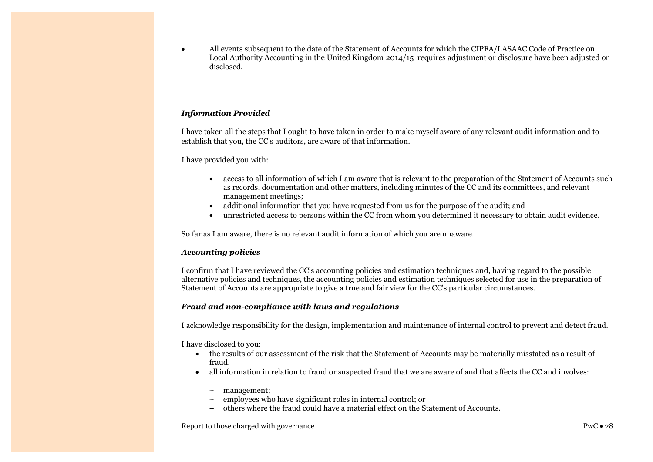All events subsequent to the date of the Statement of Accounts for which the CIPFA/LASAAC Code of Practice on Local Authority Accounting in the United Kingdom 2014/15 requires adjustment or disclosure have been adjusted or disclosed.

### *Information Provided*

I have taken all the steps that I ought to have taken in order to make myself aware of any relevant audit information and to establish that you, the CC's auditors, are aware of that information.

I have provided you with:

- access to all information of which I am aware that is relevant to the preparation of the Statement of Accounts such as records, documentation and other matters, including minutes of the CC and its committees, and relevant management meetings;
- additional information that you have requested from us for the purpose of the audit; and
- unrestricted access to persons within the CC from whom you determined it necessary to obtain audit evidence.

So far as I am aware, there is no relevant audit information of which you are unaware.

### *Accounting policies*

I confirm that I have reviewed the CC's accounting policies and estimation techniques and, having regard to the possible alternative policies and techniques, the accounting policies and estimation techniques selected for use in the preparation of Statement of Accounts are appropriate to give a true and fair view for the CC's particular circumstances.

### *Fraud and non-compliance with laws and regulations*

I acknowledge responsibility for the design, implementation and maintenance of internal control to prevent and detect fraud.

I have disclosed to you:

- the results of our assessment of the risk that the Statement of Accounts may be materially misstated as a result of fraud.
- all information in relation to fraud or suspected fraud that we are aware of and that affects the CC and involves:
	- management:
	- employees who have significant roles in internal control; or
	- -- others where the fraud could have a material effect on the Statement of Accounts.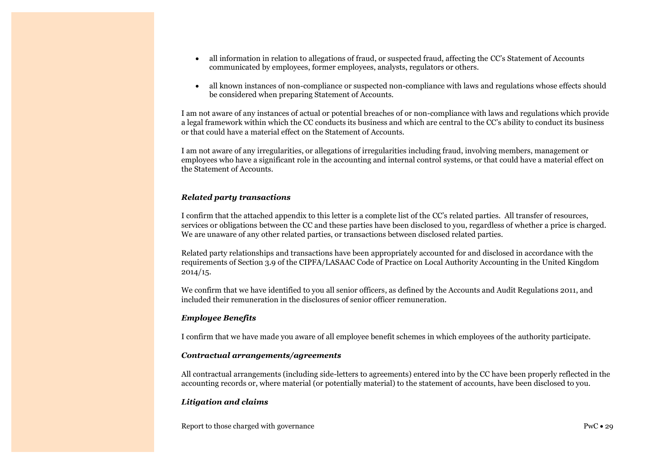- all information in relation to allegations of fraud, or suspected fraud, affecting the CC's Statement of Accounts communicated by employees, former employees, analysts, regulators or others.
- all known instances of non-compliance or suspected non-compliance with laws and regulations whose effects should be considered when preparing Statement of Accounts.

I am not aware of any instances of actual or potential breaches of or non-compliance with laws and regulations which provide a legal framework within which the CC conducts its business and which are central to the CC's ability to conduct its business or that could have a material effect on the Statement of Accounts.

I am not aware of any irregularities, or allegations of irregularities including fraud, involving members, management or employees who have a significant role in the accounting and internal control systems, or that could have a material effect on the Statement of Accounts.

### *Related party transactions*

I confirm that the attached appendix to this letter is a complete list of the CC's related parties. All transfer of resources, services or obligations between the CC and these parties have been disclosed to you, regardless of whether a price is charged. We are unaware of any other related parties, or transactions between disclosed related parties.

Related party relationships and transactions have been appropriately accounted for and disclosed in accordance with the requirements of Section 3.9 of the CIPFA/LASAAC Code of Practice on Local Authority Accounting in the United Kingdom 2014/15.

We confirm that we have identified to you all senior officers, as defined by the Accounts and Audit Regulations 2011, and included their remuneration in the disclosures of senior officer remuneration.

### *Employee Benefits*

I confirm that we have made you aware of all employee benefit schemes in which employees of the authority participate.

### *Contractual arrangements/agreements*

All contractual arrangements (including side-letters to agreements) entered into by the CC have been properly reflected in the accounting records or, where material (or potentially material) to the statement of accounts, have been disclosed to you.

### *Litigation and claims*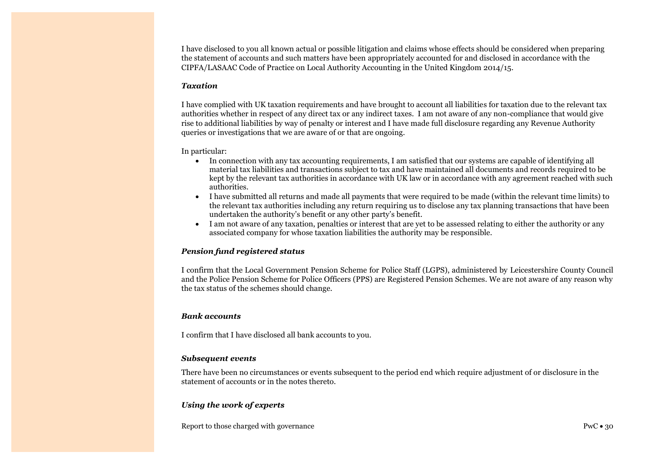I have disclosed to you all known actual or possible litigation and claims whose effects should be considered when preparing the statement of accounts and such matters have been appropriately accounted for and disclosed in accordance with the CIPFA/LASAAC Code of Practice on Local Authority Accounting in the United Kingdom 2014/15.

### *Taxation*

I have complied with UK taxation requirements and have brought to account all liabilities for taxation due to the relevant tax authorities whether in respect of any direct tax or any indirect taxes. I am not aware of any non-compliance that would give rise to additional liabilities by way of penalty or interest and I have made full disclosure regarding any Revenue Authority queries or investigations that we are aware of or that are ongoing.

In particular:

- In connection with any tax accounting requirements, I am satisfied that our systems are capable of identifying all material tax liabilities and transactions subject to tax and have maintained all documents and records required to be kept by the relevant tax authorities in accordance with UK law or in accordance with any agreement reached with such authorities.
- I have submitted all returns and made all payments that were required to be made (within the relevant time limits) to the relevant tax authorities including any return requiring us to disclose any tax planning transactions that have been undertaken the authority's benefit or any other party's benefit.
- I am not aware of any taxation, penalties or interest that are yet to be assessed relating to either the authority or any associated company for whose taxation liabilities the authority may be responsible.

#### *Pension fund registered status*

I confirm that the Local Government Pension Scheme for Police Staff (LGPS), administered by Leicestershire County Council and the Police Pension Scheme for Police Officers (PPS) are Registered Pension Schemes. We are not aware of any reason why the tax status of the schemes should change.

#### *Bank accounts*

I confirm that I have disclosed all bank accounts to you.

#### *Subsequent events*

There have been no circumstances or events subsequent to the period end which require adjustment of or disclosure in the statement of accounts or in the notes thereto.

### *Using the work of experts*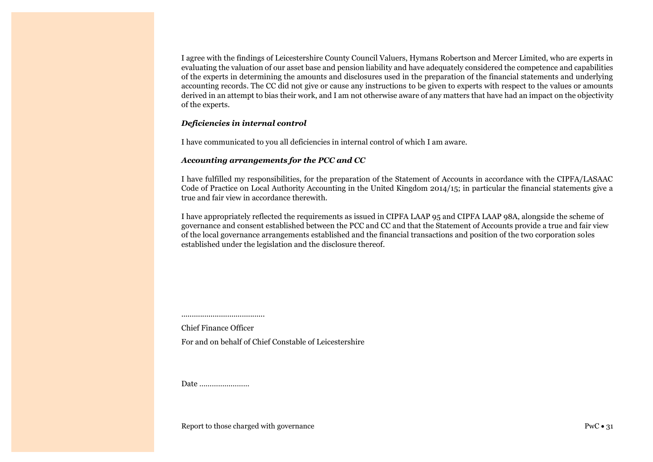I agree with the findings of Leicestershire County Council Valuers, Hymans Robertson and Mercer Limited, who are experts in evaluating the valuation of our asset base and pension liability and have adequately considered the competence and capabilities of the experts in determining the amounts and disclosures used in the preparation of the financial statements and underlying accounting records. The CC did not give or cause any instructions to be given to experts with respect to the values or amounts derived in an attempt to bias their work, and I am not otherwise aware of any matters that have had an impact on the objectivity of the experts.

### *Deficiencies in internal control*

I have communicated to you all deficiencies in internal control of which I am aware.

### *Accounting arrangements for the PCC and CC*

I have fulfilled my responsibilities, for the preparation of the Statement of Accounts in accordance with the CIPFA/LASAAC Code of Practice on Local Authority Accounting in the United Kingdom 2014/15; in particular the financial statements give a true and fair view in accordance therewith.

I have appropriately reflected the requirements as issued in CIPFA LAAP 95 and CIPFA LAAP 98A, alongside the scheme of governance and consent established between the PCC and CC and that the Statement of Accounts provide a true and fair view of the local governance arrangements established and the financial transactions and position of the two corporation soles established under the legislation and the disclosure thereof.

........................................ Chief Finance Officer

For and on behalf of Chief Constable of Leicestershire

Date ……………………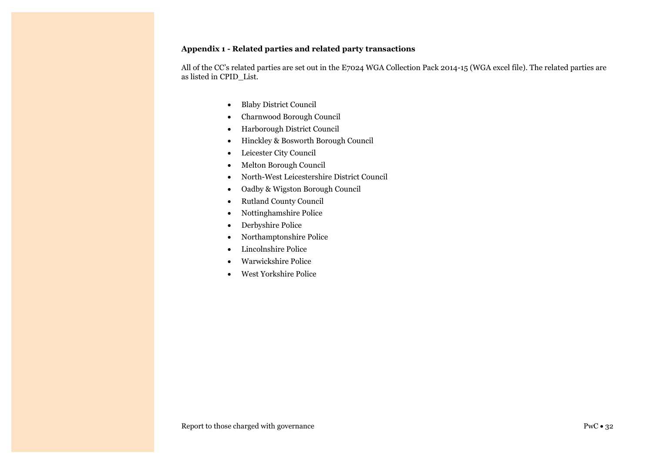### **Appendix 1 - Related parties and related party transactions**

All of the CC's related parties are set out in the E7024 WGA Collection Pack 2014-15 (WGA excel file). The related parties are as listed in CPID\_List.

- Blaby District Council
- Charnwood Borough Council
- Harborough District Council
- Hinckley & Bosworth Borough Council
- Leicester City Council
- Melton Borough Council
- North-West Leicestershire District Council
- Oadby & Wigston Borough Council
- Rutland County Council
- Nottinghamshire Police
- Derbyshire Police
- Northamptonshire Police
- Lincolnshire Police
- Warwickshire Police
- West Yorkshire Police